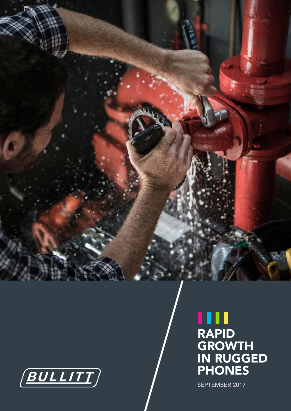

# ш RAPID **GROWTH** IN RUGGED PHONES

SEPTEMBER 2017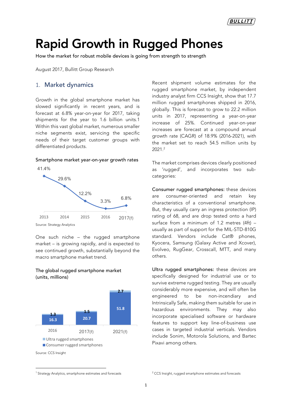BULLITT

# Rapid Growth in Rugged Phones

How the market for robust mobile devices is going from strength to strength

August 2017, Bullitt Group Research

#### 1. Market dynamics

Growth in the global smartphone market has slowed significantly in recent years, and is forecast at 6.8% year-on-year for 2017, taking shipments for the year to 1.6 billion units.1 Within this vast global market, numerous smaller niche segments exist, servicing the specific needs of their target customer groups with differentiated products.

#### Smartphone market year-on-year growth rates



Source: Strategy Analytics

One such niche – the rugged smartphone market – is growing rapidly, and is expected to see continued growth, substantially beyond the macro smartphone market trend.





Recent shipment volume estimates for the rugged smartphone market, by independent industry analyst firm CCS Insight, show that 17.7 million rugged smartphones shipped in 2016, globally. This is forecast to grow to 22.2 million units in 2017, representing a year-on-year increase of 25%. Continued year-on-year increases are forecast at a compound annual growth rate (CAGR) of 18.9% (2016-2021), with the market set to reach 54.5 million units by 2021.2

The market comprises devices clearly positioned as 'rugged', and incorporates two subcategories:

Consumer rugged smartphones: these devices are consumer-oriented and retain key characteristics of a conventional smartphone. But, they usually carry an ingress protection (IP) rating of 68, and are drop tested onto a hard surface from a minimum of 1.2 metres (4ft) – usually as part of support for the MIL-STD-810G standard. Vendors include Cat® phones, Kyocera, Samsung (Galaxy Active and Xcover), Evolveo, RugGear, Crosscall, MTT, and many others.

Ultra rugged smartphones: these devices are specifically designed for industrial use or to survive extreme rugged testing. They are usually considerably more expensive, and will often be engineered to be non-incendiary and Intrinsically Safe, making them suitable for use in hazardous environments. They may also incorporate specialised software or hardware features to support key line-of-business use cases in targeted industrial verticals. Vendors include Sonim, Motorola Solutions, and Bartec Pixavi among others.

<u> 1989 - Johann Barn, mars ann an t-Amhain Aonaich ann an t-Aonaich ann an t-Aonaich ann an t-Aonaich ann an t-</u>

<sup>&</sup>lt;sup>1</sup> Strategy Analytics, smartphone estimates and forecasts

<sup>&</sup>lt;sup>2</sup> CCS Insight, rugged smartphone estimates and forecasts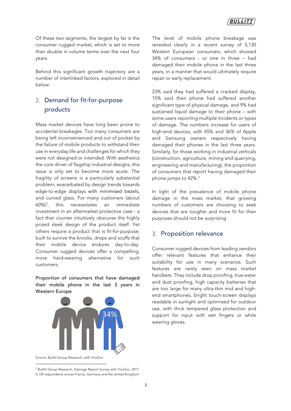Of these two segments, the largest by far is the consumer rugged market, which is set to more than double in volume terms over the next four years.

Behind this significant growth trajectory are a number of interlinked factors, explored in detail below:

# 2. Demand for fit-for-purpose products

Mass market devices have long been prone to accidental breakages. Too many consumers are being left inconvenienced and out of pocket by the failure of mobile products to withstand their use in everyday life and challenges for which they were not designed or intended. With aesthetics the core driver of flagship industrial designs, this issue is only set to become more acute. The fragility of screens is a particularly substantial problem, exacerbated by design trends towards edge-to-edge displays with minimised bezels, and curved glass. For many customers (about 60%)3 , this necessitates an immediate investment in an aftermarket protective case - a fact that counter intuitively obscures the highly prized sleek design of the product itself. Yet others require a product that is fit-for-purpose; built to survive the knocks, drops and scuffs that their mobile device endures day-to-day. Consumer rugged devices offer a compelling, more hard-wearing alternative for such customers.

Proportion of consumers that have damaged their mobile phone in the last 3 years in Western Europe



Source: Bullitt Group Research, with YouGov <u> 1989 - Johann Barn, mars ann an t-Amhain Aonaich ann an t-Aonaich ann an t-Aonaich ann an t-Aonaich ann an t-</u>

<sup>3</sup> Bullitt Group Research, Damage Report Survey with YouGov, 2017. 5,130 respondents across France, Germany and the United Kingdom. The level of mobile phone breakage was revealed clearly in a recent survey of 5,130 Western European consumers, which showed 34% of consumers - or one in three – had damaged their mobile phone in the last three years, in a manner that would ultimately require repair or early replacement.

23% said they had suffered a cracked display, 15% said their phone had suffered another significant type of physical damage, and 9% had sustained liquid damage to their phone – with some users reporting multiple incidents or types of damage. The numbers increase for users of high-end devices, with 45% and 36% of Apple and Samsung owners respectively having damaged their phones in the last three years. Similarly, for those working in industrial verticals (construction, agriculture, mining and quarrying, engineering and manufacturing), the proportion of consumers that report having damaged their phone jumps to 42%. 3

In light of the prevalence of mobile phone damage in the mass market, that growing numbers of customers are choosing to seek devices that are tougher and more fit for their purposes should not be surprising.

#### 3. Proposition relevance

Consumer rugged devices from leading vendors offer relevant features that enhance their suitability for use in many scenarios. Such features are rarely seen on mass market handsets. They include drop proofing, true water and dust proofing, high capacity batteries that are too large for many ultra-thin mid and highend smartphones, bright touch-screen displays readable in sunlight and optimised for outdoor use, with thick tempered glass protection and support for input with wet fingers or while wearing gloves.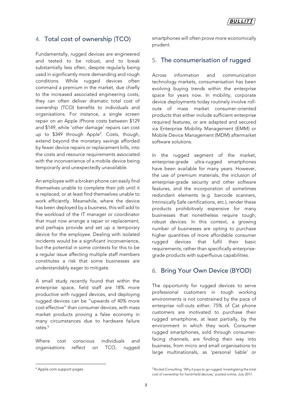## 4. Total cost of ownership (TCO)

Fundamentally, rugged devices are engineered and tested to be robust, and to break substantially less often, despite regularly being used in significantly more demanding and rough conditions. While rugged devices often command a premium in the market, due chiefly to the increased associated engineering costs, they can often deliver dramatic total cost of ownership (TCO) benefits to individuals and organisations. For instance, a single screen repair on an Apple iPhone costs between \$129 and \$149, while 'other damage' repairs can cost up to \$349 through Apple4 . Costs, though, extend beyond the monetary savings afforded by fewer device repairs or replacement bills, into the costs and resource requirements associated with the inconvenience of a mobile device being temporarily and unexpectedly unavailable.

An employee with a broken phone can easily find themselves unable to complete their job until it is replaced, or at least find themselves unable to work efficiently. Meanwhile, where the device has been deployed by a business, this will add to the workload of the IT manager or coordinator that must now arrange a repair or replacement, and perhaps provide and set up a temporary device for the employee. Dealing with isolated incidents would be a significant inconvenience, but the potential in some contexts for this to be a regular issue affecting multiple staff members constitutes a risk that some businesses are understandably eager to mitigate.

A small study recently found that within the enterprise space, field staff are 18% more productive with rugged devices, and deploying rugged devices can be "upwards of 40% more cost effective" than consumer devices, with mass market products proving a false economy in many circumstances due to hardware failure rates.<sup>5</sup>

Where cost conscious individuals and organisations reflect on TCO, rugged smartphones will often prove more economically prudent.

#### 5. The consumerisation of rugged

Across information and communication technology markets, consumerisation has been evolving buying trends within the enterprise space for years now. In mobility, corporate device deployments today routinely involve rollouts of mass market consumer-oriented products that either include sufficient enterprise required features, or are adapted and secured via Enterprise Mobility Management (EMM) or Mobile Device Management (MDM) aftermarket software solutions.

In the rugged segment of the market, enterprise-grade ultra-rugged smartphones have been available for many years. However, the use of premium materials, the inclusion of enterprise-grade security and other software features, and the incorporation of sometimes redundant elements (e.g. barcode scanners, Intrinsically Safe certifications, etc.), render these products prohibitively expensive for many businesses that nonetheless require tough, robust devices. In this context, a growing number of businesses are opting to purchase higher quantities of more affordable consumer rugged devices that fulfil their basic requirements, rather than specifically enterprisegrade products with superfluous capabilities.

## 6. Bring Your Own Device (BYOD)

The opportunity for rugged devices to serve professional customers in tough working environments is not constrained by the pace of enterprise roll-outs either. 75% of Cat phone customers are motivated to purchase their rugged smartphone, at least partially, by the environment in which they work. Consumer rugged smartphones, sold through consumerfacing channels, are finding their way into business, from micro and small organisations to large multinationals, as 'personal liable' or

<u> 1989 - Johann Barn, mars ann an t-Amhain Aonaich ann an t-Aonaich ann an t-Aonaich ann an t-Aonaich ann an t-</u>

<sup>4</sup> Apple.com support pages

<sup>5</sup> Rocket Consulting, 'Why it pays to go rugged. Investigating the total cost of ownership for hand-held devices,' posted online, July 2017.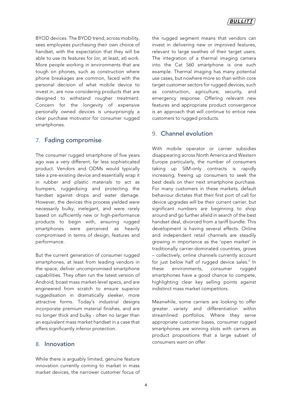BYOD devices. The BYOD trend, across mobility, sees employees purchasing their own choice of handset, with the expectation that they will be able to use its features for (or, at least, at) work. More people working in environments that are tough on phones, such as construction where phone breakages are common, faced with the personal decision of what mobile device to invest in, are now considering products that are designed to withstand rougher treatment. Concern for the longevity of expensive personally owned devices is unsurprisingly a clear purchase motivator for consumer rugged smartphones.

#### 7. Fading compromise

The consumer rugged smartphone of five years ago was a very different, far less sophisticated product. Vendors and ODMs would typically take a pre-existing device and essentially wrap it in rubber and plastic materials to act as bumpers, ruggedizing and protecting the handset against drops and water damage. However, the devices this process yielded were necessarily bulky, inelegant, and were rarely based on sufficiently new or high-performance products to begin with, ensuring rugged smartphones were perceived as heavily compromised in terms of design, features and performance.

But the current generation of consumer rugged smartphones, at least from leading vendors in the space, deliver uncompromised smartphone capabilities. They often run the latest version of Android, boast mass market-level specs, and are engineered from scratch to ensure superior ruggedisation in dramatically sleeker, more attractive forms. Today's industrial designs incorporate premium material finishes, and are no longer thick and bulky - often no larger than an equivalent mass market handset in a case that offers significantly inferior protection.

#### 8. Innovation

While there is arguably limited, genuine feature innovation currently coming to market in mass market devices, the narrower customer focus of the rugged segment means that vendors can invest in delivering new or improved features, relevant to large swathes of their target users. The integration of a thermal imaging camera into the Cat S60 smartphone is one such example. Thermal imaging has many potential use cases, but nowhere more so than within core target customer sectors for rugged devices, such as construction, agriculture, security, and emergency response. Offering relevant new features and appropriate product convergence is an approach that will continue to entice new customers to rugged products.

## 9. Channel evolution

With mobile operator or carrier subsidies disappearing across North America and Western Europe particularly, the number of consumers taking up SIM-only contracts is rapidly increasing, freeing up consumers to seek the best deals on their next smartphone purchase. For many customers in these markets, default behaviour dictates that their first port of call for device upgrades will be their current carrier, but significant numbers are beginning to shop around and go further afield in search of the best handset deal, divorced from a tariff bundle. This development is having several effects. Online and independent retail channels are steadily growing in importance as the 'open market' in traditionally carrier-dominated countries, grows – collectively, online channels currently account for just below half of rugged device sales. <sup>5</sup> In these environments, consumer rugged smartphones have a good chance to compete, highlighting clear key selling points against indistinct mass market competitors.

Meanwhile, some carriers are looking to offer greater variety and differentiation within streamlined portfolios. Where they serve appropriate customer bases, consumer rugged smartphones are winning slots with carriers as product propositions that a large subset of consumers want on offer.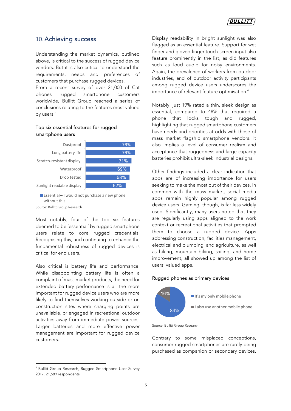#### 10.Achieving success

Understanding the market dynamics, outlined above, is critical to the success of rugged device vendors. But it is also critical to understand the requirements, needs and preferences of customers that purchase rugged devices.

From a recent survey of over 21,000 of Cat phones rugged smartphone customers worldwide, Bullitt Group reached a series of conclusions relating to the features most valued by users.<sup>5</sup>

#### Top six essential features for rugged smartphone users



 $\blacksquare$  Essential – I would not purchase a new phone without this

Source: Bullitt Group Research

Most notably, four of the top six features deemed to be 'essential' by rugged smartphone users relate to core rugged credentials. Recognising this, and continuing to enhance the fundamental robustness of rugged devices is critical for end users.

Also critical is battery life and performance. While disappointing battery life is often a complaint of mass market products, the need for extended battery performance is all the more important for rugged device users who are more likely to find themselves working outside or on construction sites where charging points are unavailable, or engaged in recreational outdoor activities away from immediate power sources. Larger batteries and more effective power management are important for rugged device customers.

<sup>6</sup> Bullitt Group Research, Rugged Smartphone User Survey 2017. 21,689 respondents.

<u> 1989 - Johann Barn, mars eta bainar eta industrial eta baina eta baina eta baina eta baina eta baina eta bain</u>

Display readability in bright sunlight was also flagged as an essential feature. Support for wet finger and gloved finger touch-screen input also feature prominently in the list, as did features such as loud audio for noisy environments. Again, the prevalence of workers from outdoor industries, and of outdoor activity participants among rugged device users underscores the importance of relevant feature optimisation.<sup>6</sup>

Notably, just 19% rated a thin, sleek design as essential, compared to 48% that required a phone that looks tough and rugged, highlighting that rugged smartphone customers have needs and priorities at odds with those of mass market flagship smartphone vendors. It also implies a level of consumer realism and acceptance that ruggedness and large capacity batteries prohibit ultra-sleek industrial designs.

Other findings included a clear indication that apps are of increasing importance for users seeking to make the most out of their devices. In common with the mass market, social media apps remain highly popular among rugged device users. Gaming, though, is far less widely used. Significantly, many users noted that they are regularly using apps aligned to the work context or recreational activities that prompted them to choose a rugged device. Apps addressing construction, facilities management, electrical and plumbing, and agriculture, as well as hiking, mountain biking, sailing, and home improvement, all showed up among the list of users' valued apps.

#### Rugged phones as primary devices



Source: Bullitt Group Research

Contrary to some misplaced conceptions, consumer rugged smartphones are rarely being purchased as companion or secondary devices.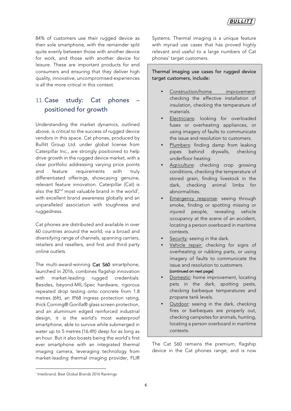84% of customers use their rugged device as their sole smartphone, with the remainder split quite evenly between those with another device for work, and those with another device for leisure. These are important products for end consumers and ensuring that they deliver high quality, innovative, uncompromised experiences is all the more critical in this context.

# 11. Case study: Cat phones positioned for growth

Understanding the market dynamics, outlined above, is critical to the success of rugged device vendors in this space. Cat phones, produced by Bullitt Group Ltd. under global license from Caterpillar Inc., are strongly positioned to help drive growth in the rugged device market, with a clear portfolio addressing varying price points and feature requirements with truly differentiated offerings, showcasing genuine, relevant feature innovation. Caterpillar (Cat) is also the  $82^{\text{nd}}$  most valuable brand in the world<sup>7</sup>, with excellent brand awareness globally and an unparalleled association with toughness and ruggedness.

Cat phones are distributed and available in over 60 countries around the world, via a broad and diversifying range of channels, spanning carriers, retailers and resellers, and first and third party online outlets.

The multi-award-winning Cat S60 smartphone, launched in 2016, combines flagship innovation with market-leading rugged credentials. Besides, beyond-MIL-Spec hardware, rigorous repeated drop testing onto concrete from 1.8 metres (6ft), an IP68 ingress protection rating, thick Corning® Gorilla® glass screen protection, and an aluminium edged reinforced industrial design, it is the world's most waterproof smartphone, able to survive while submerged in water up to 5 metres (16.4ft) deep for as long as an hour. But it also boasts being the world's first ever smartphone with an integrated thermal imaging camera, leveraging technology from market-leading thermal imaging provider, FLIR Systems. Thermal imaging is a unique feature with myriad use cases that has proved highly relevant and useful to a large numbers of Cat phones' target customers.

Thermal imaging use cases for rugged device target customers, include:

- Construction/home improvement: checking the effective installation of insulation, checking the temperature of materials.
- Electricians: looking for overloaded fuses or overheating appliances, or using imagery of faults to communicate the issue and resolution to customers.
- Plumbers: finding damp from leaking pipes behind drywalls, checking underfloor heating.
- Agriculture: checking crop growing conditions, checking the temperature of stored grain, finding livestock in the dark, checking animal limbs for abnormalities.
- Emergency response: seeing through smoke, finding or spotting missing or injured people, revealing vehicle occupancy at the scene of an accident, locating a person overboard in maritime contexts.
- Security: seeing in the dark.
- Vehicle repair: checking for signs of overheating or rubbing parts, or using imagery of faults to communicate the issue and resolution to customers. [continued on next page]
- Domestic: home improvement, locating pets in the dark, spotting pests, checking barbeque temperatures and propane tank levels.
- Outdoor: seeing in the dark, checking fires or barbeques are properly out, checking campsites for animals, hunting, locating a person overboard in maritime contexts.

The Cat S60 remains the premium, flagship device in the Cat phones range, and is now

<u> 1989 - Johann Barn, mars ann an t-Amhain Aonaich ann an t-Aonaich ann an t-Aonaich ann an t-Aonaich ann an t-</u>

<sup>7</sup> Interbrand, Best Global Brands 2016 Rankings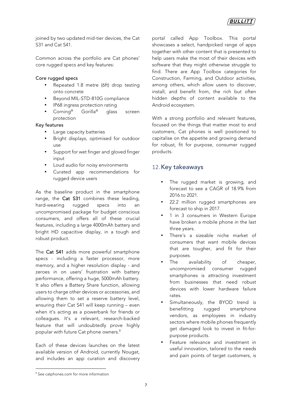joined by two updated mid-tier devices, the Cat S31 and Cat S41.

Common across the portfolio are Cat phones' core rugged specs and key features:

#### Core rugged specs

- Repeated 1.8 metre (6ft) drop testing onto concrete
- Beyond MIL-STD-810G compliance
- IP68 ingress protection rating
- Corning<sup>®</sup> Gorilla<sup>®</sup> glass screen protection

#### Key features

- Large capacity batteries
- Bright displays, optimised for outdoor use
- Support for wet finger and gloved finger input
- Loud audio for noisy environments
- Curated app recommendations for rugged device users

As the baseline product in the smartphone range, the Cat S31 combines these leading, hard-wearing rugged specs into an uncompromised package for budget conscious consumers, and offers all of these crucial features, including a large 4000mAh battery and bright HD capacitive display, in a tough and robust product.

The Cat S41 adds more powerful smartphone specs - including a faster processor, more memory, and a higher resolution display - and zeroes in on users' frustration with battery performance, offering a huge, 5000mAh battery. It also offers a Battery Share function, allowing users to charge other devices or accessories, and allowing them to set a reserve battery level, ensuring their Cat S41 will keep running – even when it's acting as a powerbank for friends or colleagues. It's a relevant, research-backed feature that will undoubtedly prove highly popular with future Cat phone owners.<sup>8</sup>

Each of these devices launches on the latest available version of Android, currently Nougat, and includes an app curation and discovery portal called App Toolbox. This portal showcases a select, handpicked range of apps together with other content that is presented to help users make the most of their devices with software that they might otherwise struggle to find. There are App Toolbox categories for Construction, Farming, and Outdoor activities, among others, which allow users to discover, install, and benefit from, the rich but often hidden depths of content available to the Android ecosystem.

With a strong portfolio and relevant features, focused on the things that matter most to end customers, Cat phones is well positioned to capitalise on the appetite and growing demand for robust, fit for purpose, consumer rugged products.

## 12.Key takeaways

- The rugged market is growing, and forecast to see a CAGR of 18.9% from 2016 to 2021.
- 22.2 million rugged smartphones are forecast to ship in 2017.
- 1 in 3 consumers in Western Europe have broken a mobile phone in the last three years.
- There's a sizeable niche market of consumers that want mobile devices that are tougher, and fit for their purposes.
- The availability of cheaper, uncompromised consumer rugged smartphones is attracting investment from businesses that need robust devices with lower hardware failure rates.
- Simultaneously, the BYOD trend is benefitting rugged smartphone vendors, as employees in industry sectors where mobile phones frequently get damaged look to invest in fit-forpurpose products.
- Feature relevance and investment in useful innovation, tailored to the needs and pain points of target customers, is

<sup>&</sup>lt;u> 1989 - Johann Barn, mars ann an t-Amhain an t-Amhain an t-Amhain an t-Amhain an t-Amhain an t-Amhain an t-Amh</u> <sup>8</sup> See catphones.com for more information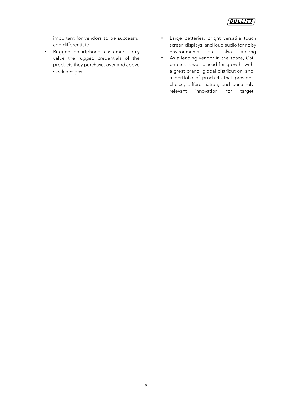

important for vendors to be successful and differentiate.

- Rugged smartphone customers truly value the rugged credentials of the products they purchase, over and above sleek designs.
- Large batteries, bright versatile touch screen displays, and loud audio for noisy environments are also among
- As a leading vendor in the space, Cat phones is well placed for growth, with a great brand, global distribution, and a portfolio of products that provides choice, differentiation, and genuinely relevant innovation for target